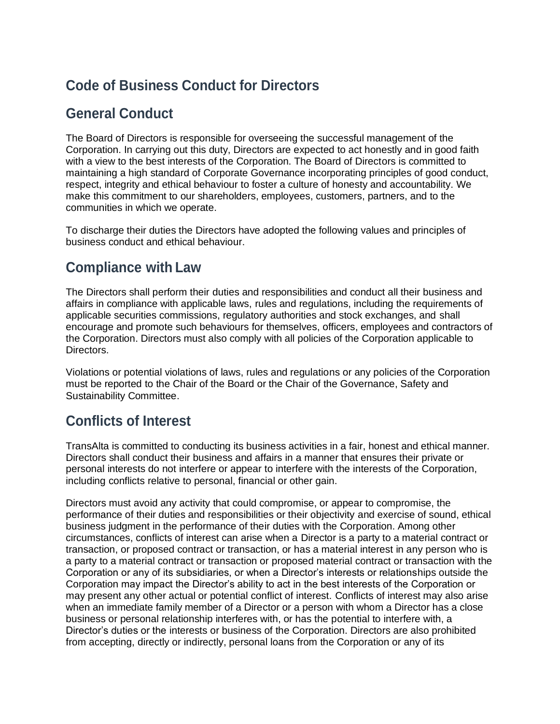## **Code of Business Conduct for Directors**

#### **General Conduct**

The Board of Directors is responsible for overseeing the successful management of the Corporation. In carrying out this duty, Directors are expected to act honestly and in good faith with a view to the best interests of the Corporation. The Board of Directors is committed to maintaining a high standard of Corporate Governance incorporating principles of good conduct, respect, integrity and ethical behaviour to foster a culture of honesty and accountability. We make this commitment to our shareholders, employees, customers, partners, and to the communities in which we operate.

To discharge their duties the Directors have adopted the following values and principles of business conduct and ethical behaviour.

## **Compliance with Law**

The Directors shall perform their duties and responsibilities and conduct all their business and affairs in compliance with applicable laws, rules and regulations, including the requirements of applicable securities commissions, regulatory authorities and stock exchanges, and shall encourage and promote such behaviours for themselves, officers, employees and contractors of the Corporation. Directors must also comply with all policies of the Corporation applicable to Directors.

Violations or potential violations of laws, rules and regulations or any policies of the Corporation must be reported to the Chair of the Board or the Chair of the Governance, Safety and Sustainability Committee.

#### **Conflicts of Interest**

TransAlta is committed to conducting its business activities in a fair, honest and ethical manner. Directors shall conduct their business and affairs in a manner that ensures their private or personal interests do not interfere or appear to interfere with the interests of the Corporation, including conflicts relative to personal, financial or other gain.

Directors must avoid any activity that could compromise, or appear to compromise, the performance of their duties and responsibilities or their objectivity and exercise of sound, ethical business judgment in the performance of their duties with the Corporation. Among other circumstances, conflicts of interest can arise when a Director is a party to a material contract or transaction, or proposed contract or transaction, or has a material interest in any person who is a party to a material contract or transaction or proposed material contract or transaction with the Corporation or any of its subsidiaries, or when a Director's interests or relationships outside the Corporation may impact the Director's ability to act in the best interests of the Corporation or may present any other actual or potential conflict of interest. Conflicts of interest may also arise when an immediate family member of a Director or a person with whom a Director has a close business or personal relationship interferes with, or has the potential to interfere with, a Director's duties or the interests or business of the Corporation. Directors are also prohibited from accepting, directly or indirectly, personal loans from the Corporation or any of its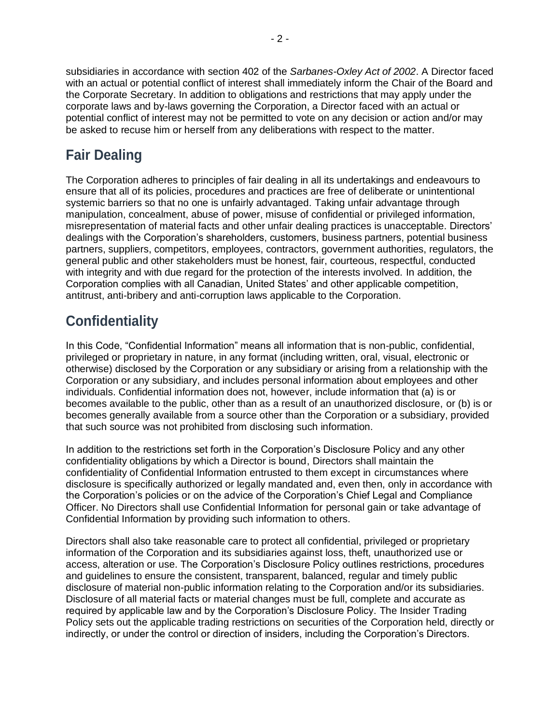subsidiaries in accordance with section 402 of the *Sarbanes-Oxley Act of 2002*. A Director faced with an actual or potential conflict of interest shall immediately inform the Chair of the Board and the Corporate Secretary. In addition to obligations and restrictions that may apply under the corporate laws and by-laws governing the Corporation, a Director faced with an actual or potential conflict of interest may not be permitted to vote on any decision or action and/or may be asked to recuse him or herself from any deliberations with respect to the matter.

# **Fair Dealing**

The Corporation adheres to principles of fair dealing in all its undertakings and endeavours to ensure that all of its policies, procedures and practices are free of deliberate or unintentional systemic barriers so that no one is unfairly advantaged. Taking unfair advantage through manipulation, concealment, abuse of power, misuse of confidential or privileged information, misrepresentation of material facts and other unfair dealing practices is unacceptable. Directors' dealings with the Corporation's shareholders, customers, business partners, potential business partners, suppliers, competitors, employees, contractors, government authorities, regulators, the general public and other stakeholders must be honest, fair, courteous, respectful, conducted with integrity and with due regard for the protection of the interests involved. In addition, the Corporation complies with all Canadian, United States' and other applicable competition, antitrust, anti-bribery and anti-corruption laws applicable to the Corporation.

# **Confidentiality**

In this Code, "Confidential Information" means all information that is non-public, confidential, privileged or proprietary in nature, in any format (including written, oral, visual, electronic or otherwise) disclosed by the Corporation or any subsidiary or arising from a relationship with the Corporation or any subsidiary, and includes personal information about employees and other individuals. Confidential information does not, however, include information that (a) is or becomes available to the public, other than as a result of an unauthorized disclosure, or (b) is or becomes generally available from a source other than the Corporation or a subsidiary, provided that such source was not prohibited from disclosing such information.

In addition to the restrictions set forth in the Corporation's Disclosure Policy and any other confidentiality obligations by which a Director is bound, Directors shall maintain the confidentiality of Confidential Information entrusted to them except in circumstances where disclosure is specifically authorized or legally mandated and, even then, only in accordance with the Corporation's policies or on the advice of the Corporation's Chief Legal and Compliance Officer. No Directors shall use Confidential Information for personal gain or take advantage of Confidential Information by providing such information to others.

Directors shall also take reasonable care to protect all confidential, privileged or proprietary information of the Corporation and its subsidiaries against loss, theft, unauthorized use or access, alteration or use. The Corporation's Disclosure Policy outlines restrictions, procedures and guidelines to ensure the consistent, transparent, balanced, regular and timely public disclosure of material non-public information relating to the Corporation and/or its subsidiaries. Disclosure of all material facts or material changes must be full, complete and accurate as required by applicable law and by the Corporation's Disclosure Policy. The Insider Trading Policy sets out the applicable trading restrictions on securities of the Corporation held, directly or indirectly, or under the control or direction of insiders, including the Corporation's Directors.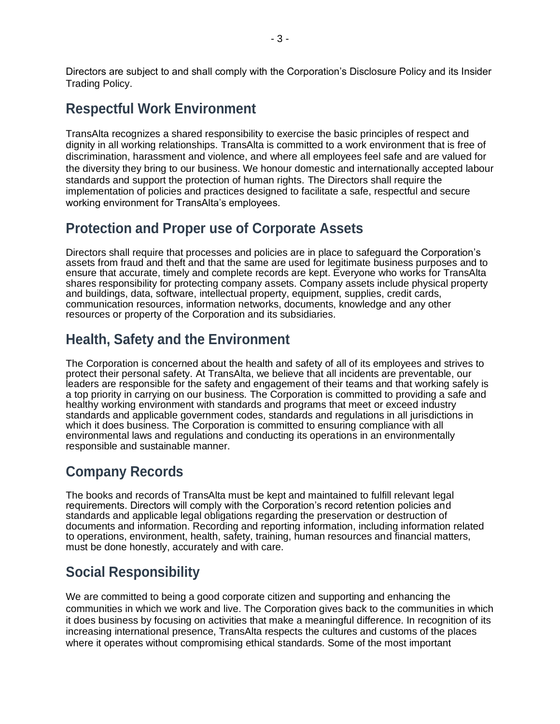Directors are subject to and shall comply with the Corporation's Disclosure Policy and its Insider Trading Policy.

## **Respectful Work Environment**

TransAlta recognizes a shared responsibility to exercise the basic principles of respect and dignity in all working relationships. TransAlta is committed to a work environment that is free of discrimination, harassment and violence, and where all employees feel safe and are valued for the diversity they bring to our business. We honour domestic and internationally accepted labour standards and support the protection of human rights. The Directors shall require the implementation of policies and practices designed to facilitate a safe, respectful and secure working environment for TransAlta's employees.

#### **Protection and Proper use of Corporate Assets**

Directors shall require that processes and policies are in place to safeguard the Corporation's assets from fraud and theft and that the same are used for legitimate business purposes and to ensure that accurate, timely and complete records are kept. Everyone who works for TransAlta shares responsibility for protecting company assets. Company assets include physical property and buildings, data, software, intellectual property, equipment, supplies, credit cards, communication resources, information networks, documents, knowledge and any other resources or property of the Corporation and its subsidiaries.

#### **Health, Safety and the Environment**

The Corporation is concerned about the health and safety of all of its employees and strives to protect their personal safety. At TransAlta, we believe that all incidents are preventable, our leaders are responsible for the safety and engagement of their teams and that working safely is a top priority in carrying on our business. The Corporation is committed to providing a safe and healthy working environment with standards and programs that meet or exceed industry standards and applicable government codes, standards and regulations in all jurisdictions in which it does business. The Corporation is committed to ensuring compliance with all environmental laws and regulations and conducting its operations in an environmentally responsible and sustainable manner.

## **Company Records**

The books and records of TransAlta must be kept and maintained to fulfill relevant legal requirements. Directors will comply with the Corporation's record retention policies and standards and applicable legal obligations regarding the preservation or destruction of documents and information. Recording and reporting information, including information related to operations, environment, health, safety, training, human resources and financial matters, must be done honestly, accurately and with care.

#### **Social Responsibility**

We are committed to being a good corporate citizen and supporting and enhancing the communities in which we work and live. The Corporation gives back to the communities in which it does business by focusing on activities that make a meaningful difference. In recognition of its increasing international presence, TransAlta respects the cultures and customs of the places where it operates without compromising ethical standards. Some of the most important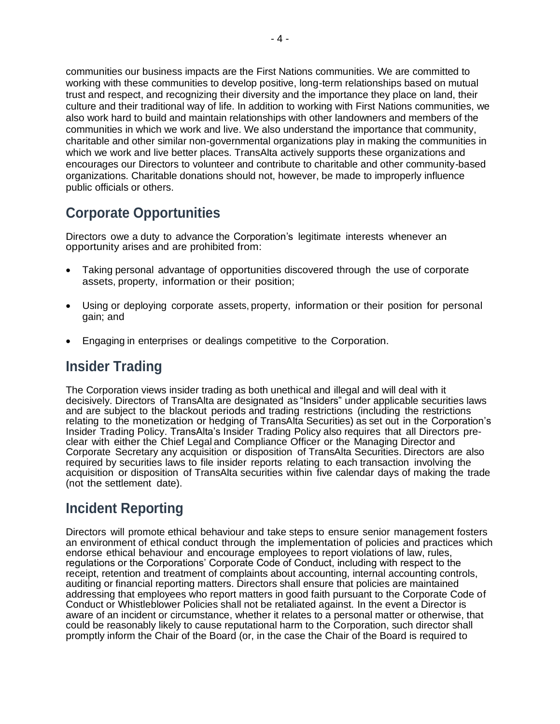communities our business impacts are the First Nations communities. We are committed to working with these communities to develop positive, long-term relationships based on mutual trust and respect, and recognizing their diversity and the importance they place on land, their culture and their traditional way of life. In addition to working with First Nations communities, we also work hard to build and maintain relationships with other landowners and members of the communities in which we work and live. We also understand the importance that community, charitable and other similar non-governmental organizations play in making the communities in which we work and live better places. TransAlta actively supports these organizations and encourages our Directors to volunteer and contribute to charitable and other community-based organizations. Charitable donations should not, however, be made to improperly influence public officials or others.

## **Corporate Opportunities**

Directors owe a duty to advance the Corporation's legitimate interests whenever an opportunity arises and are prohibited from:

- Taking personal advantage of opportunities discovered through the use of corporate assets, property, information or their position;
- Using or deploying corporate assets, property, information or their position for personal gain; and
- Engaging in enterprises or dealings competitive to the Corporation.

#### **Insider Trading**

The Corporation views insider trading as both unethical and illegal and will deal with it decisively. Directors of TransAlta are designated as "Insiders" under applicable securities laws and are subject to the blackout periods and trading restrictions (including the restrictions relating to the monetization or hedging of TransAlta Securities) as set out in the Corporation's Insider Trading Policy. TransAlta's Insider Trading Policy also requires that all Directors preclear with either the Chief Legal and Compliance Officer or the Managing Director and Corporate Secretary any acquisition or disposition of TransAlta Securities. Directors are also required by securities laws to file insider reports relating to each transaction involving the acquisition or disposition of TransAlta securities within five calendar days of making the trade (not the settlement date).

#### **Incident Reporting**

Directors will promote ethical behaviour and take steps to ensure senior management fosters an environment of ethical conduct through the implementation of policies and practices which endorse ethical behaviour and encourage employees to report violations of law, rules, regulations or the Corporations' Corporate Code of Conduct, including with respect to the receipt, retention and treatment of complaints about accounting, internal accounting controls, auditing or financial reporting matters. Directors shall ensure that policies are maintained addressing that employees who report matters in good faith pursuant to the Corporate Code of Conduct or Whistleblower Policies shall not be retaliated against. In the event a Director is aware of an incident or circumstance, whether it relates to a personal matter or otherwise, that could be reasonably likely to cause reputational harm to the Corporation, such director shall promptly inform the Chair of the Board (or, in the case the Chair of the Board is required to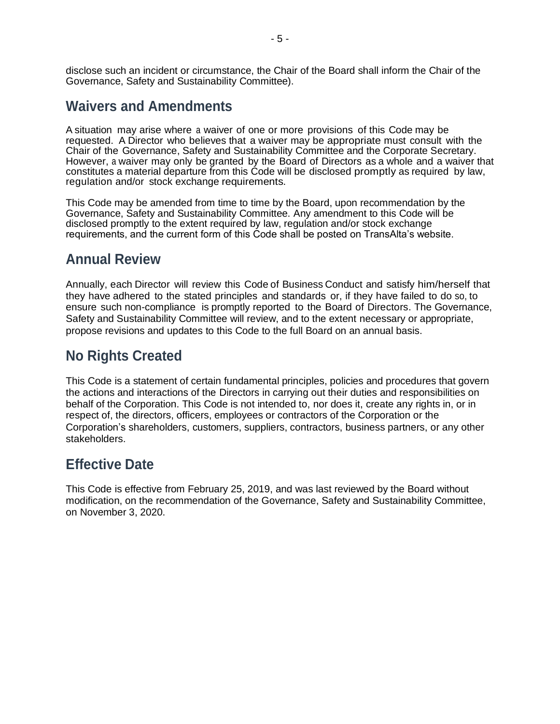disclose such an incident or circumstance, the Chair of the Board shall inform the Chair of the Governance, Safety and Sustainability Committee).

#### **Waivers and Amendments**

A situation may arise where a waiver of one or more provisions of this Code may be requested. A Director who believes that a waiver may be appropriate must consult with the Chair of the Governance, Safety and Sustainability Committee and the Corporate Secretary. However, a waiver may only be granted by the Board of Directors as a whole and a waiver that constitutes a material departure from this Code will be disclosed promptly as required by law, regulation and/or stock exchange requirements.

This Code may be amended from time to time by the Board, upon recommendation by the Governance, Safety and Sustainability Committee. Any amendment to this Code will be disclosed promptly to the extent required by law, regulation and/or stock exchange requirements, and the current form of this Code shall be posted on TransAlta's website.

#### **Annual Review**

Annually, each Director will review this Code of Business Conduct and satisfy him/herself that they have adhered to the stated principles and standards or, if they have failed to do so, to ensure such non-compliance is promptly reported to the Board of Directors. The Governance, Safety and Sustainability Committee will review, and to the extent necessary or appropriate, propose revisions and updates to this Code to the full Board on an annual basis.

## **No Rights Created**

This Code is a statement of certain fundamental principles, policies and procedures that govern the actions and interactions of the Directors in carrying out their duties and responsibilities on behalf of the Corporation. This Code is not intended to, nor does it, create any rights in, or in respect of, the directors, officers, employees or contractors of the Corporation or the Corporation's shareholders, customers, suppliers, contractors, business partners, or any other stakeholders.

#### **Effective Date**

This Code is effective from February 25, 2019, and was last reviewed by the Board without modification, on the recommendation of the Governance, Safety and Sustainability Committee, on November 3, 2020.